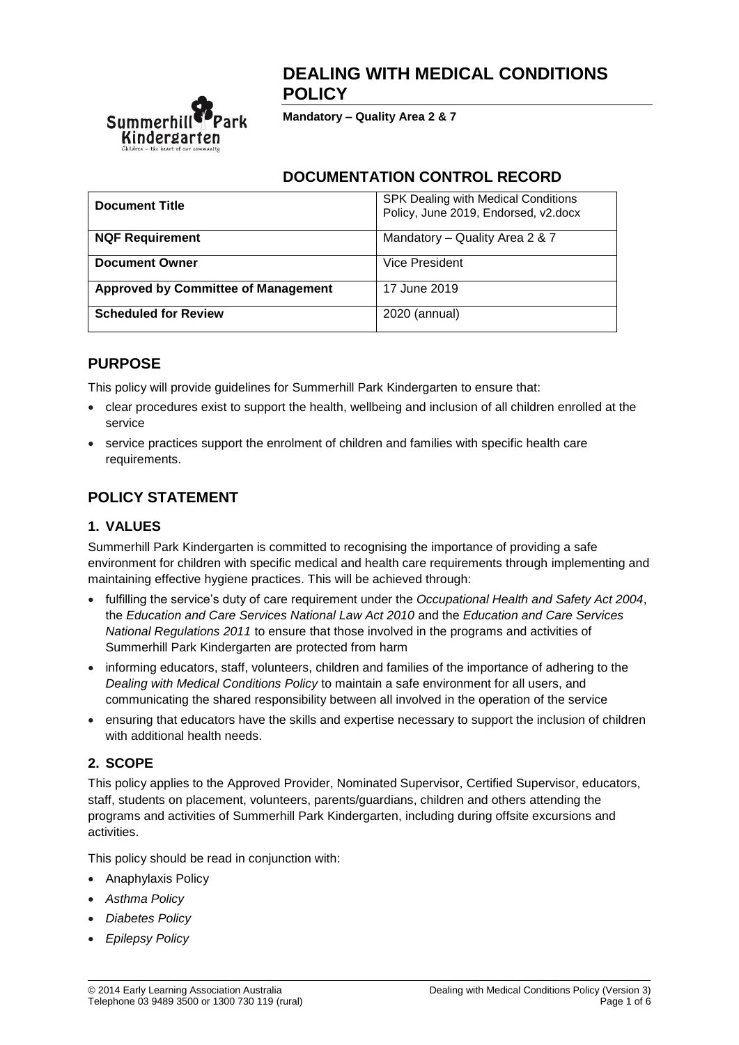

# **DEALING WITH MEDICAL CONDITIONS POLICY**

**Mandatory – Quality Area 2 & 7**

## **DOCUMENTATION CONTROL RECORD**

| <b>Document Title</b>                      | SPK Dealing with Medical Conditions<br>Policy, June 2019, Endorsed, v2.docx |
|--------------------------------------------|-----------------------------------------------------------------------------|
| <b>NQF Requirement</b>                     | Mandatory - Quality Area 2 & 7                                              |
| <b>Document Owner</b>                      | Vice President                                                              |
| <b>Approved by Committee of Management</b> | 17 June 2019                                                                |
| <b>Scheduled for Review</b>                | 2020 (annual)                                                               |

# **PURPOSE**

This policy will provide guidelines for Summerhill Park Kindergarten to ensure that:

- clear procedures exist to support the health, wellbeing and inclusion of all children enrolled at the service
- service practices support the enrolment of children and families with specific health care requirements.

# **POLICY STATEMENT**

## **1. VALUES**

Summerhill Park Kindergarten is committed to recognising the importance of providing a safe environment for children with specific medical and health care requirements through implementing and maintaining effective hygiene practices. This will be achieved through:

- fulfilling the service's duty of care requirement under the *Occupational Health and Safety Act 2004*, the *Education and Care Services National Law Act 2010* and the *Education and Care Services National Regulations 2011* to ensure that those involved in the programs and activities of Summerhill Park Kindergarten are protected from harm
- informing educators, staff, volunteers, children and families of the importance of adhering to the *Dealing with Medical Conditions Policy* to maintain a safe environment for all users, and communicating the shared responsibility between all involved in the operation of the service
- ensuring that educators have the skills and expertise necessary to support the inclusion of children with additional health needs.

# **2. SCOPE**

This policy applies to the Approved Provider, Nominated Supervisor, Certified Supervisor, educators, staff, students on placement, volunteers, parents/guardians, children and others attending the programs and activities of Summerhill Park Kindergarten, including during offsite excursions and activities.

This policy should be read in conjunction with:

- Anaphylaxis Policy
- *Asthma Policy*
- *Diabetes Policy*
- *Epilepsy Policy*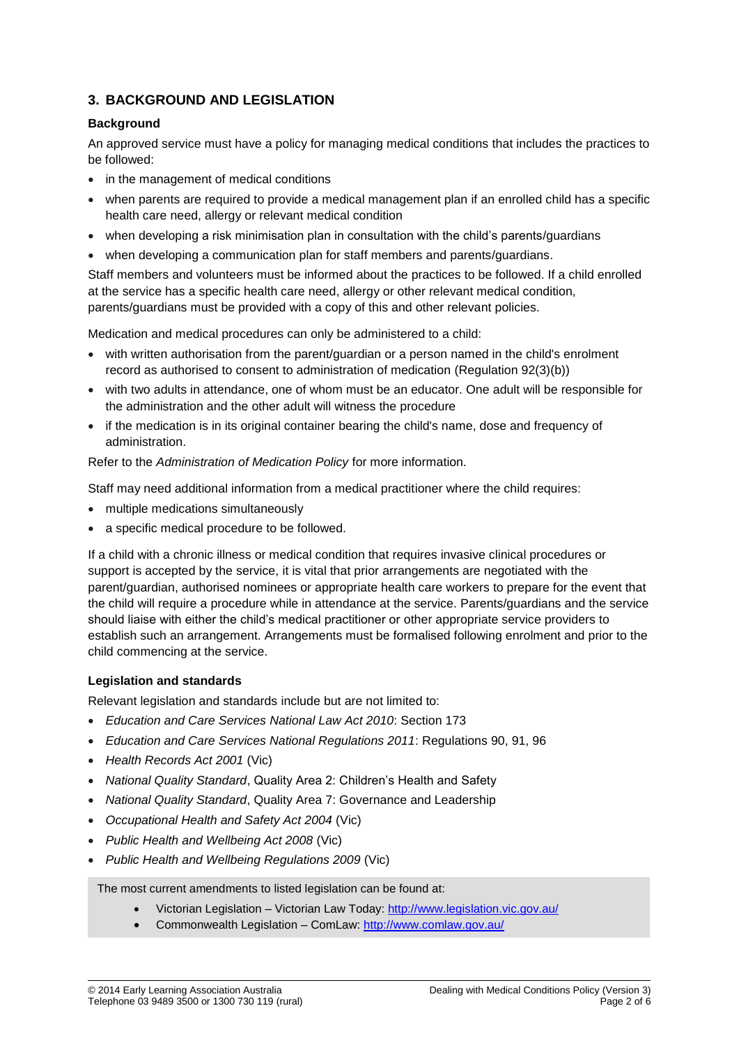### **3. BACKGROUND AND LEGISLATION**

### **Background**

An approved service must have a policy for managing medical conditions that includes the practices to be followed:

- in the management of medical conditions
- when parents are required to provide a medical management plan if an enrolled child has a specific health care need, allergy or relevant medical condition
- when developing a risk minimisation plan in consultation with the child's parents/guardians
- when developing a communication plan for staff members and parents/guardians.

Staff members and volunteers must be informed about the practices to be followed. If a child enrolled at the service has a specific health care need, allergy or other relevant medical condition, parents/guardians must be provided with a copy of this and other relevant policies.

Medication and medical procedures can only be administered to a child:

- with written authorisation from the parent/guardian or a person named in the child's enrolment record as authorised to consent to administration of medication (Regulation 92(3)(b))
- with two adults in attendance, one of whom must be an educator. One adult will be responsible for the administration and the other adult will witness the procedure
- if the medication is in its original container bearing the child's name, dose and frequency of administration.

Refer to the *Administration of Medication Policy* for more information.

Staff may need additional information from a medical practitioner where the child requires:

- multiple medications simultaneously
- a specific medical procedure to be followed.

If a child with a chronic illness or medical condition that requires invasive clinical procedures or support is accepted by the service, it is vital that prior arrangements are negotiated with the parent/guardian, authorised nominees or appropriate health care workers to prepare for the event that the child will require a procedure while in attendance at the service. Parents/guardians and the service should liaise with either the child's medical practitioner or other appropriate service providers to establish such an arrangement. Arrangements must be formalised following enrolment and prior to the child commencing at the service.

#### **Legislation and standards**

Relevant legislation and standards include but are not limited to:

- *Education and Care Services National Law Act 2010*: Section 173
- *Education and Care Services National Regulations 2011*: Regulations 90, 91, 96
- *Health Records Act 2001* (Vic)
- *National Quality Standard*, Quality Area 2: Children's Health and Safety
- *National Quality Standard*, Quality Area 7: Governance and Leadership
- *Occupational Health and Safety Act 2004* (Vic)
- *Public Health and Wellbeing Act 2008* (Vic)
- *Public Health and Wellbeing Regulations 2009* (Vic)

The most current amendments to listed legislation can be found at:

- Victorian Legislation Victorian Law Today:<http://www.legislation.vic.gov.au/>
- Commonwealth Legislation ComLaw:<http://www.comlaw.gov.au/>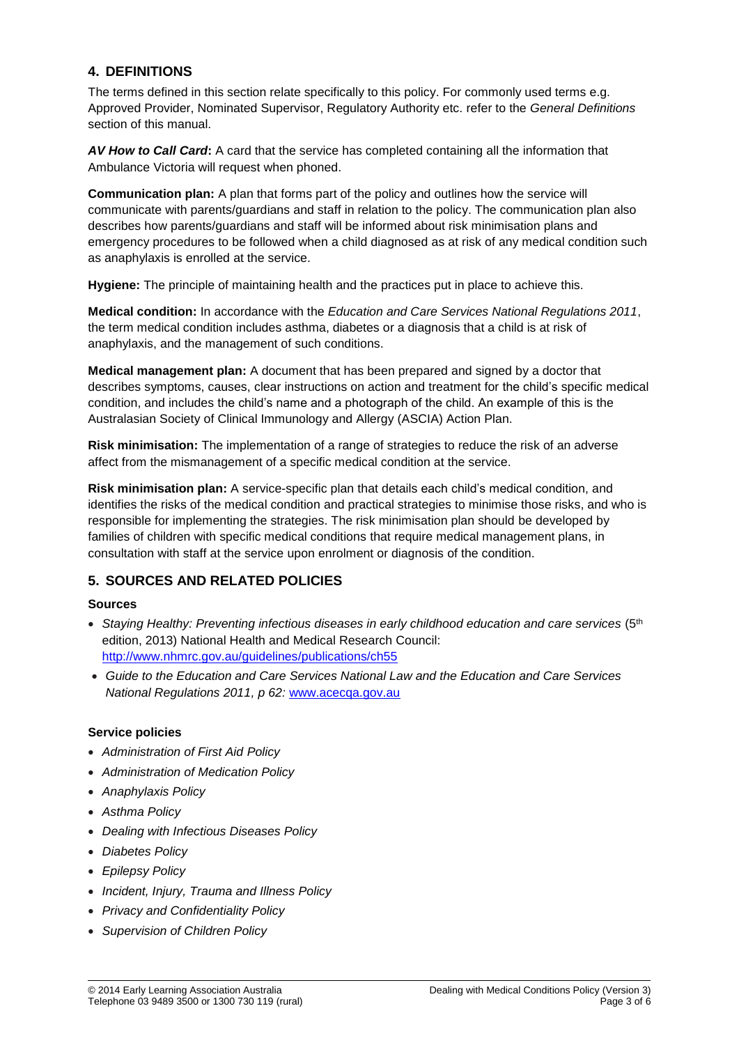### **4. DEFINITIONS**

The terms defined in this section relate specifically to this policy. For commonly used terms e.g. Approved Provider, Nominated Supervisor, Regulatory Authority etc. refer to the *General Definitions* section of this manual.

*AV How to Call Card***:** A card that the service has completed containing all the information that Ambulance Victoria will request when phoned.

**Communication plan:** A plan that forms part of the policy and outlines how the service will communicate with parents/guardians and staff in relation to the policy. The communication plan also describes how parents/guardians and staff will be informed about risk minimisation plans and emergency procedures to be followed when a child diagnosed as at risk of any medical condition such as anaphylaxis is enrolled at the service.

**Hygiene:** The principle of maintaining health and the practices put in place to achieve this.

**Medical condition:** In accordance with the *Education and Care Services National Regulations 2011*, the term medical condition includes asthma, diabetes or a diagnosis that a child is at risk of anaphylaxis, and the management of such conditions.

**Medical management plan:** A document that has been prepared and signed by a doctor that describes symptoms, causes, clear instructions on action and treatment for the child's specific medical condition, and includes the child's name and a photograph of the child. An example of this is the Australasian Society of Clinical Immunology and Allergy (ASCIA) Action Plan.

**Risk minimisation:** The implementation of a range of strategies to reduce the risk of an adverse affect from the mismanagement of a specific medical condition at the service.

**Risk minimisation plan:** A service-specific plan that details each child's medical condition, and identifies the risks of the medical condition and practical strategies to minimise those risks, and who is responsible for implementing the strategies. The risk minimisation plan should be developed by families of children with specific medical conditions that require medical management plans, in consultation with staff at the service upon enrolment or diagnosis of the condition.

### **5. SOURCES AND RELATED POLICIES**

### **Sources**

- Staying Healthy: Preventing infectious diseases in early childhood education and care services (5<sup>th</sup>) edition, 2013) National Health and Medical Research Council: <http://www.nhmrc.gov.au/guidelines/publications/ch55>
- *Guide to the Education and Care Services National Law and the Education and Care Services National Regulations 2011, p 62:* [www.acecqa.gov.au](http://www.acecqa.gov.au/)

### **Service policies**

- *Administration of First Aid Policy*
- *Administration of Medication Policy*
- *Anaphylaxis Policy*
- *Asthma Policy*
- *Dealing with Infectious Diseases Policy*
- *Diabetes Policy*
- *Epilepsy Policy*
- *Incident, Injury, Trauma and Illness Policy*
- *Privacy and Confidentiality Policy*
- *Supervision of Children Policy*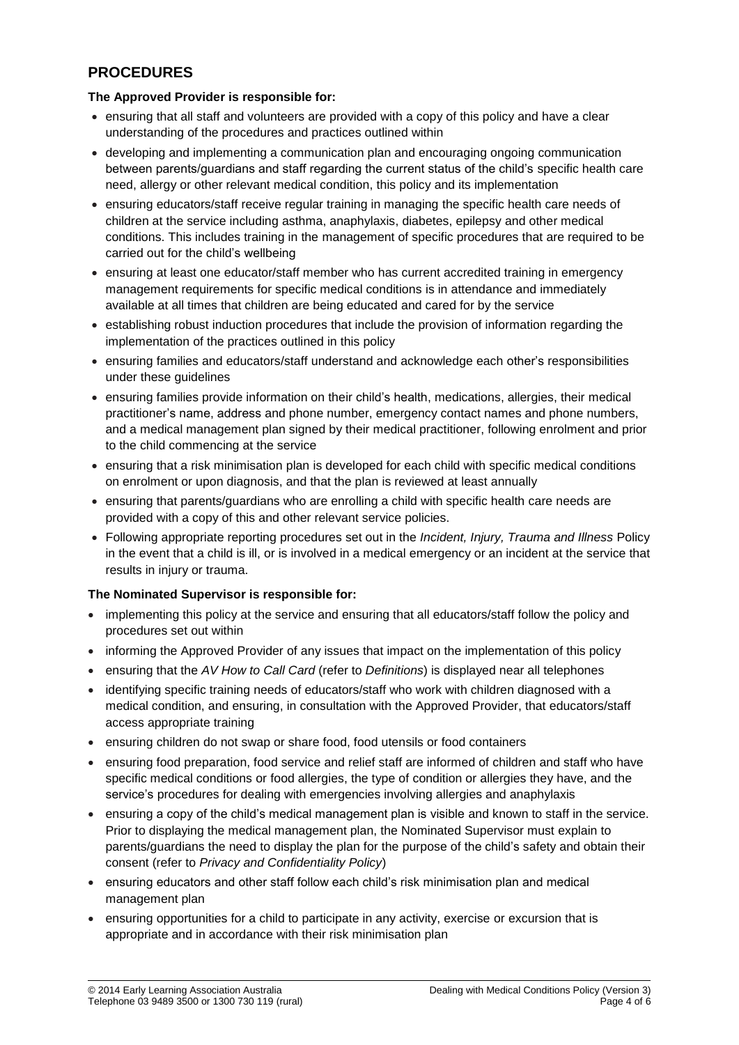# **PROCEDURES**

### **The Approved Provider is responsible for:**

- ensuring that all staff and volunteers are provided with a copy of this policy and have a clear understanding of the procedures and practices outlined within
- developing and implementing a communication plan and encouraging ongoing communication between parents/guardians and staff regarding the current status of the child's specific health care need, allergy or other relevant medical condition, this policy and its implementation
- ensuring educators/staff receive regular training in managing the specific health care needs of children at the service including asthma, anaphylaxis, diabetes, epilepsy and other medical conditions. This includes training in the management of specific procedures that are required to be carried out for the child's wellbeing
- ensuring at least one educator/staff member who has current accredited training in emergency management requirements for specific medical conditions is in attendance and immediately available at all times that children are being educated and cared for by the service
- establishing robust induction procedures that include the provision of information regarding the implementation of the practices outlined in this policy
- ensuring families and educators/staff understand and acknowledge each other's responsibilities under these guidelines
- ensuring families provide information on their child's health, medications, allergies, their medical practitioner's name, address and phone number, emergency contact names and phone numbers, and a medical management plan signed by their medical practitioner, following enrolment and prior to the child commencing at the service
- ensuring that a risk minimisation plan is developed for each child with specific medical conditions on enrolment or upon diagnosis, and that the plan is reviewed at least annually
- ensuring that parents/guardians who are enrolling a child with specific health care needs are provided with a copy of this and other relevant service policies.
- Following appropriate reporting procedures set out in the *Incident, Injury, Trauma and Illness* Policy in the event that a child is ill, or is involved in a medical emergency or an incident at the service that results in injury or trauma.

### **The Nominated Supervisor is responsible for:**

- implementing this policy at the service and ensuring that all educators/staff follow the policy and procedures set out within
- informing the Approved Provider of any issues that impact on the implementation of this policy
- ensuring that the *AV How to Call Card* (refer to *Definitions*) is displayed near all telephones
- identifying specific training needs of educators/staff who work with children diagnosed with a medical condition, and ensuring, in consultation with the Approved Provider, that educators/staff access appropriate training
- ensuring children do not swap or share food, food utensils or food containers
- ensuring food preparation, food service and relief staff are informed of children and staff who have specific medical conditions or food allergies, the type of condition or allergies they have, and the service's procedures for dealing with emergencies involving allergies and anaphylaxis
- ensuring a copy of the child's medical management plan is visible and known to staff in the service. Prior to displaying the medical management plan, the Nominated Supervisor must explain to parents/guardians the need to display the plan for the purpose of the child's safety and obtain their consent (refer to *Privacy and Confidentiality Policy*)
- ensuring educators and other staff follow each child's risk minimisation plan and medical management plan
- ensuring opportunities for a child to participate in any activity, exercise or excursion that is appropriate and in accordance with their risk minimisation plan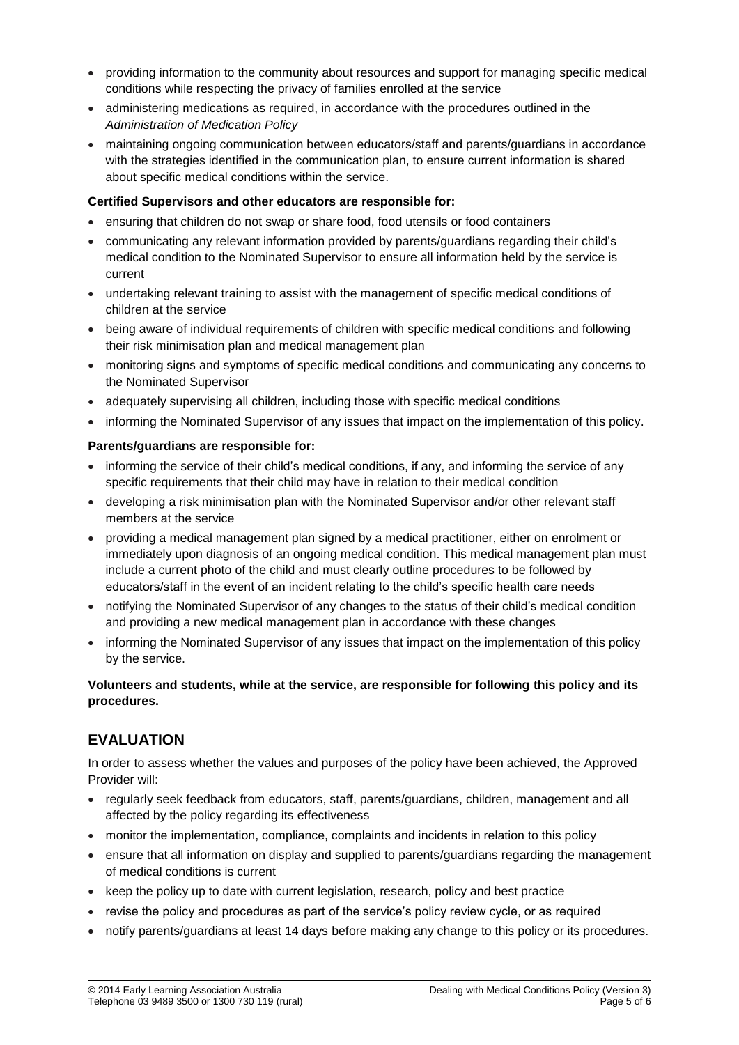- providing information to the community about resources and support for managing specific medical conditions while respecting the privacy of families enrolled at the service
- administering medications as required, in accordance with the procedures outlined in the *Administration of Medication Policy*
- maintaining ongoing communication between educators/staff and parents/guardians in accordance with the strategies identified in the communication plan, to ensure current information is shared about specific medical conditions within the service.

#### **Certified Supervisors and other educators are responsible for:**

- ensuring that children do not swap or share food, food utensils or food containers
- communicating any relevant information provided by parents/guardians regarding their child's medical condition to the Nominated Supervisor to ensure all information held by the service is current
- undertaking relevant training to assist with the management of specific medical conditions of children at the service
- being aware of individual requirements of children with specific medical conditions and following their risk minimisation plan and medical management plan
- monitoring signs and symptoms of specific medical conditions and communicating any concerns to the Nominated Supervisor
- adequately supervising all children, including those with specific medical conditions
- informing the Nominated Supervisor of any issues that impact on the implementation of this policy.

#### **Parents/guardians are responsible for:**

- informing the service of their child's medical conditions, if any, and informing the service of any specific requirements that their child may have in relation to their medical condition
- developing a risk minimisation plan with the Nominated Supervisor and/or other relevant staff members at the service
- providing a medical management plan signed by a medical practitioner, either on enrolment or immediately upon diagnosis of an ongoing medical condition. This medical management plan must include a current photo of the child and must clearly outline procedures to be followed by educators/staff in the event of an incident relating to the child's specific health care needs
- notifying the Nominated Supervisor of any changes to the status of their child's medical condition and providing a new medical management plan in accordance with these changes
- informing the Nominated Supervisor of any issues that impact on the implementation of this policy by the service.

### **Volunteers and students, while at the service, are responsible for following this policy and its procedures.**

# **EVALUATION**

In order to assess whether the values and purposes of the policy have been achieved, the Approved Provider will:

- regularly seek feedback from educators, staff, parents/guardians, children, management and all affected by the policy regarding its effectiveness
- monitor the implementation, compliance, complaints and incidents in relation to this policy
- ensure that all information on display and supplied to parents/guardians regarding the management of medical conditions is current
- keep the policy up to date with current legislation, research, policy and best practice
- revise the policy and procedures as part of the service's policy review cycle, or as required
- notify parents/guardians at least 14 days before making any change to this policy or its procedures.